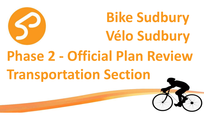

**Bike Sudbury Vélo Sudbury**

# **Phase 2 - Official Plan Review Transportation Section**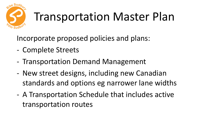

## Transportation Master Plan

Incorporate proposed policies and plans:

- Complete Streets
- Transportation Demand Management
- New street designs, including new Canadian standards and options eg narrower lane widths
- A Transportation Schedule that includes active transportation routes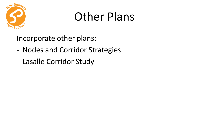

#### Other Plans

Incorporate other plans:

- Nodes and Corridor Strategies
- Lasalle Corridor Study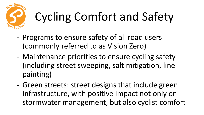

## Cycling Comfort and Safety

- Programs to ensure safety of all road users (commonly referred to as Vision Zero)
- Maintenance priorities to ensure cycling safety (including street sweeping, salt mitigation, line painting)
- Green streets: street designs that include green infrastructure, with positive impact not only on stormwater management, but also cyclist comfort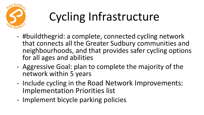

### Cycling Infrastructure

- #buildthegrid: a complete, connected cycling network that connects all the Greater Sudbury communities and neighbourhoods, and that provides safer cycling options for all ages and abilities
- Aggressive Goal: plan to complete the majority of the network within 5 years
- Include cycling in the Road Network Improvements: Implementation Priorities list
- Implement bicycle parking policies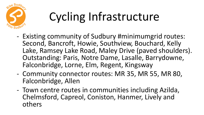

### Cycling Infrastructure

- Existing community of Sudbury #minimumgrid routes: Second, Bancroft, Howie, Southview, Bouchard, Kelly Lake, Ramsey Lake Road, Maley Drive (paved shoulders). Outstanding: Paris, Notre Dame, Lasalle, Barrydowne, Falconbridge, Lorne, Elm, Regent, Kingsway
- Community connector routes: MR 35, MR 55, MR 80, Falconbridge, Allen
- Town centre routes in communities including Azilda, Chelmsford, Capreol, Coniston, Hanmer, Lively and others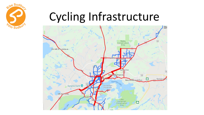

#### Cycling Infrastructure

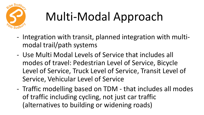

## Multi-Modal Approach

- Integration with transit, planned integration with multimodal trail/path systems
- Use Multi Modal Levels of Service that includes all modes of travel: Pedestrian Level of Service, Bicycle Level of Service, Truck Level of Service, Transit Level of Service, Vehicular Level of Service
- Traffic modelling based on TDM that includes all modes of traffic including cycling, not just car traffic (alternatives to building or widening roads)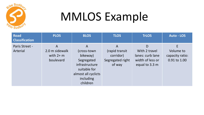

#### MMLOS Example

| <b>Road</b><br><b>Classification</b> | <b>PLOS</b>                                    | <b>BLOS</b>                                                                                                                   | <b>TLOS</b>                                                    | <b>TrLOS</b>                                                                 | <b>Auto - LOS</b>                                 |
|--------------------------------------|------------------------------------------------|-------------------------------------------------------------------------------------------------------------------------------|----------------------------------------------------------------|------------------------------------------------------------------------------|---------------------------------------------------|
| Paris Street -<br>Arterial           | A<br>2.0 m sidewalk<br>with $2+m$<br>boulevard | A<br>(cross-town)<br>bikeway)<br>Segregated<br>infrastructure<br>suitable for<br>almost all cyclicts<br>including<br>children | A<br>(rapid transit<br>corridor)<br>Segregated right<br>of way | D<br>With 2 travel<br>lanes: curb lane<br>width of less or<br>equal to 3.3 m | E<br>Volume to<br>capacity ratio:<br>0.91 to 1.00 |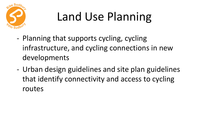

### Land Use Planning

- Planning that supports cycling, cycling infrastructure, and cycling connections in new developments
- Urban design guidelines and site plan guidelines that identify connectivity and access to cycling routes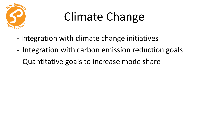

#### Climate Change

- Integration with climate change initiatives
- Integration with carbon emission reduction goals
- Quantitative goals to increase mode share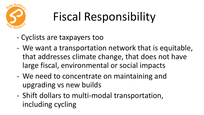

### Fiscal Responsibility

- Cyclists are taxpayers too
- We want a transportation network that is equitable, that addresses climate change, that does not have large fiscal, environmental or social impacts
- We need to concentrate on maintaining and upgrading vs new builds
- Shift dollars to multi-modal transportation, including cycling